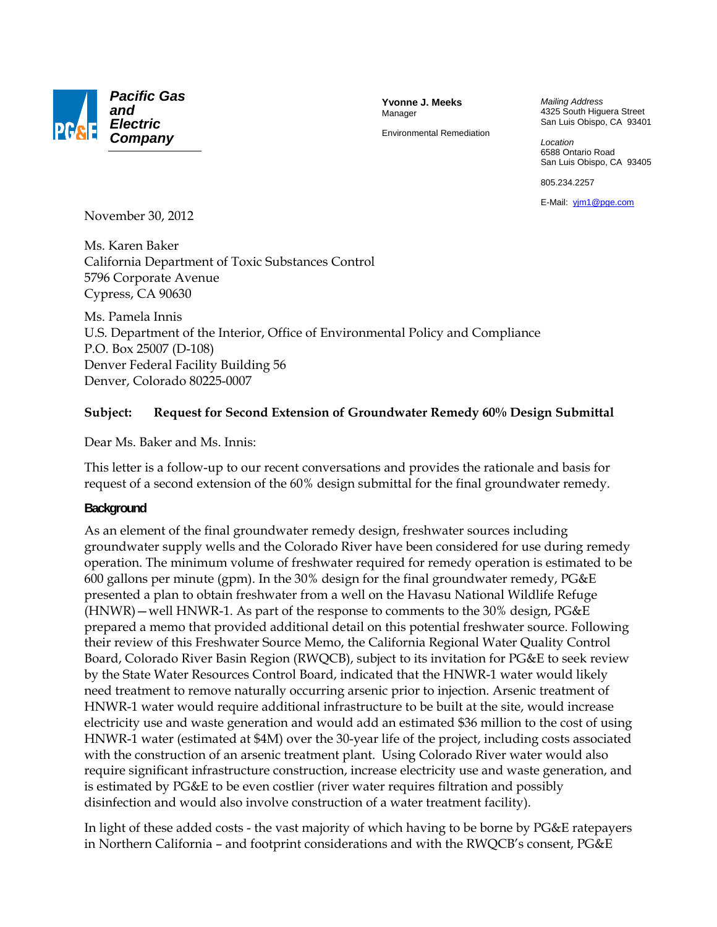

**Yvonne J. Meeks**  Manager

Environmental Remediation

*Mailing Address*  4325 South Higuera Street San Luis Obispo, CA 93401

*Location*  6588 Ontario Road San Luis Obispo, CA 93405

805.234.2257

E-Mail: yjm1@pge.com

November 30, 2012

Ms. Karen Baker California Department of Toxic Substances Control 5796 Corporate Avenue Cypress, CA 90630

Ms. Pamela Innis U.S. Department of the Interior, Office of Environmental Policy and Compliance P.O. Box 25007 (D-108) Denver Federal Facility Building 56 Denver, Colorado 80225-0007

#### **Subject: Request for Second Extension of Groundwater Remedy 60% Design Submittal**

Dear Ms. Baker and Ms. Innis:

This letter is a follow-up to our recent conversations and provides the rationale and basis for request of a second extension of the 60% design submittal for the final groundwater remedy.

#### **Background**

As an element of the final groundwater remedy design, freshwater sources including groundwater supply wells and the Colorado River have been considered for use during remedy operation. The minimum volume of freshwater required for remedy operation is estimated to be 600 gallons per minute (gpm). In the 30% design for the final groundwater remedy, PG&E presented a plan to obtain freshwater from a well on the Havasu National Wildlife Refuge (HNWR)—well HNWR-1. As part of the response to comments to the 30% design, PG&E prepared a memo that provided additional detail on this potential freshwater source. Following their review of this Freshwater Source Memo, the California Regional Water Quality Control Board, Colorado River Basin Region (RWQCB), subject to its invitation for PG&E to seek review by the State Water Resources Control Board, indicated that the HNWR-1 water would likely need treatment to remove naturally occurring arsenic prior to injection. Arsenic treatment of HNWR-1 water would require additional infrastructure to be built at the site, would increase electricity use and waste generation and would add an estimated \$36 million to the cost of using HNWR-1 water (estimated at \$4M) over the 30-year life of the project, including costs associated with the construction of an arsenic treatment plant. Using Colorado River water would also require significant infrastructure construction, increase electricity use and waste generation, and is estimated by PG&E to be even costlier (river water requires filtration and possibly disinfection and would also involve construction of a water treatment facility).

In light of these added costs - the vast majority of which having to be borne by PG&E ratepayers in Northern California – and footprint considerations and with the RWQCB's consent, PG&E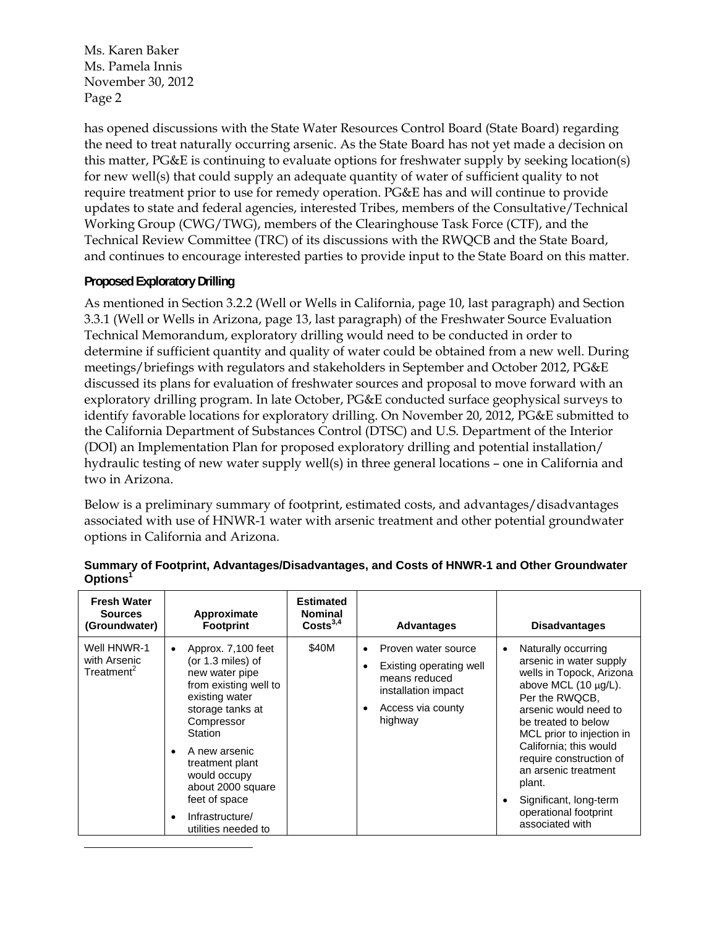Ms. Karen Baker Ms. Pamela Innis November 30, 2012 Page 2

has opened discussions with the State Water Resources Control Board (State Board) regarding the need to treat naturally occurring arsenic. As the State Board has not yet made a decision on this matter, PG&E is continuing to evaluate options for freshwater supply by seeking location(s) for new well(s) that could supply an adequate quantity of water of sufficient quality to not require treatment prior to use for remedy operation. PG&E has and will continue to provide updates to state and federal agencies, interested Tribes, members of the Consultative/Technical Working Group (CWG/TWG), members of the Clearinghouse Task Force (CTF), and the Technical Review Committee (TRC) of its discussions with the RWQCB and the State Board, and continues to encourage interested parties to provide input to the State Board on this matter.

### **Proposed Exploratory Drilling**

As mentioned in Section 3.2.2 (Well or Wells in California, page 10, last paragraph) and Section 3.3.1 (Well or Wells in Arizona, page 13, last paragraph) of the Freshwater Source Evaluation Technical Memorandum, exploratory drilling would need to be conducted in order to determine if sufficient quantity and quality of water could be obtained from a new well. During meetings/briefings with regulators and stakeholders in September and October 2012, PG&E discussed its plans for evaluation of freshwater sources and proposal to move forward with an exploratory drilling program. In late October, PG&E conducted surface geophysical surveys to identify favorable locations for exploratory drilling. On November 20, 2012, PG&E submitted to the California Department of Substances Control (DTSC) and U.S. Department of the Interior (DOI) an Implementation Plan for proposed exploratory drilling and potential installation/ hydraulic testing of new water supply well(s) in three general locations – one in California and two in Arizona.

Below is a preliminary summary of footprint, estimated costs, and advantages/disadvantages associated with use of HNWR-1 water with arsenic treatment and other potential groundwater options in California and Arizona.

| <b>Fresh Water</b><br><b>Sources</b><br>(Groundwater) | Approximate<br><b>Footprint</b>                                                                                                                                                                                                                                                                                              | <b>Estimated</b><br><b>Nominal</b><br>Costs <sup>3,4</sup> | <b>Advantages</b>                                                                                                      | <b>Disadvantages</b>                                                                                                                                                                                                                                                                                                                                                              |
|-------------------------------------------------------|------------------------------------------------------------------------------------------------------------------------------------------------------------------------------------------------------------------------------------------------------------------------------------------------------------------------------|------------------------------------------------------------|------------------------------------------------------------------------------------------------------------------------|-----------------------------------------------------------------------------------------------------------------------------------------------------------------------------------------------------------------------------------------------------------------------------------------------------------------------------------------------------------------------------------|
| Well HNWR-1<br>with Arsenic<br>Treatment <sup>2</sup> | Approx. 7,100 feet<br>$\bullet$<br>(or 1.3 miles) of<br>new water pipe<br>from existing well to<br>existing water<br>storage tanks at<br>Compressor<br>Station<br>A new arsenic<br>$\bullet$<br>treatment plant<br>would occupy<br>about 2000 square<br>feet of space<br>Infrastructure/<br>$\bullet$<br>utilities needed to | \$40M                                                      | Proven water source<br>Existing operating well<br>means reduced<br>installation impact<br>Access via county<br>highway | Naturally occurring<br>$\bullet$<br>arsenic in water supply<br>wells in Topock, Arizona<br>above MCL $(10 \mu g/L)$ .<br>Per the RWQCB.<br>arsenic would need to<br>be treated to below<br>MCL prior to injection in<br>California; this would<br>require construction of<br>an arsenic treatment<br>plant.<br>Significant, long-term<br>operational footprint<br>associated with |

|                      | Summary of Footprint, Advantages/Disadvantages, and Costs of HNWR-1 and Other Groundwater |  |  |
|----------------------|-------------------------------------------------------------------------------------------|--|--|
| Options <sup>1</sup> |                                                                                           |  |  |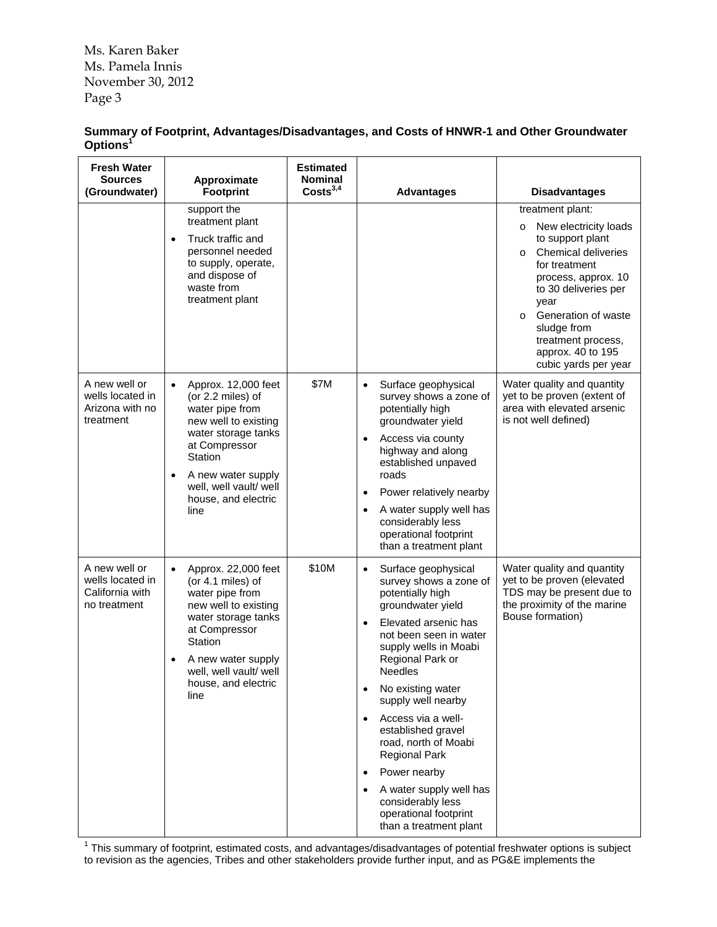Ms. Karen Baker Ms. Pamela Innis November 30, 2012 Page 3

| Summary of Footprint, Advantages/Disadvantages, and Costs of HNWR-1 and Other Groundwater |  |  |
|-------------------------------------------------------------------------------------------|--|--|
| Options <sup>1</sup>                                                                      |  |  |

| <b>Fresh Water</b><br><b>Sources</b><br>(Groundwater)                | Approximate<br><b>Footprint</b>                                                                                                                                                                                                                 | <b>Estimated</b><br><b>Nominal</b><br>Costs <sup>3,4</sup> | <b>Advantages</b>                                                                                                                                                                                                                                                                                                                                                                                                                                                                                                     | <b>Disadvantages</b>                                                                                                                                                                                                                                                                        |
|----------------------------------------------------------------------|-------------------------------------------------------------------------------------------------------------------------------------------------------------------------------------------------------------------------------------------------|------------------------------------------------------------|-----------------------------------------------------------------------------------------------------------------------------------------------------------------------------------------------------------------------------------------------------------------------------------------------------------------------------------------------------------------------------------------------------------------------------------------------------------------------------------------------------------------------|---------------------------------------------------------------------------------------------------------------------------------------------------------------------------------------------------------------------------------------------------------------------------------------------|
|                                                                      | support the                                                                                                                                                                                                                                     |                                                            |                                                                                                                                                                                                                                                                                                                                                                                                                                                                                                                       | treatment plant:                                                                                                                                                                                                                                                                            |
|                                                                      | treatment plant<br>Truck traffic and<br>$\bullet$<br>personnel needed<br>to supply, operate,<br>and dispose of<br>waste from<br>treatment plant                                                                                                 |                                                            |                                                                                                                                                                                                                                                                                                                                                                                                                                                                                                                       | New electricity loads<br>$\circ$<br>to support plant<br><b>Chemical deliveries</b><br>$\Omega$<br>for treatment<br>process, approx. 10<br>to 30 deliveries per<br>year<br>Generation of waste<br>$\Omega$<br>sludge from<br>treatment process,<br>approx. 40 to 195<br>cubic yards per year |
| A new well or<br>wells located in<br>Arizona with no<br>treatment    | Approx. 12,000 feet<br>$\bullet$<br>(or 2.2 miles) of<br>water pipe from<br>new well to existing<br>water storage tanks<br>at Compressor<br>Station<br>A new water supply<br>$\bullet$<br>well, well vault/ well<br>house, and electric<br>line | \$7M                                                       | Surface geophysical<br>$\bullet$<br>survey shows a zone of<br>potentially high<br>groundwater yield<br>Access via county<br>highway and along<br>established unpaved<br>roads<br>Power relatively nearby<br>$\bullet$<br>A water supply well has<br>$\bullet$<br>considerably less<br>operational footprint<br>than a treatment plant                                                                                                                                                                                 | Water quality and quantity<br>yet to be proven (extent of<br>area with elevated arsenic<br>is not well defined)                                                                                                                                                                             |
| A new well or<br>wells located in<br>California with<br>no treatment | Approx. 22,000 feet<br>$\bullet$<br>(or 4.1 miles) of<br>water pipe from<br>new well to existing<br>water storage tanks<br>at Compressor<br>Station<br>A new water supply<br>$\bullet$<br>well, well vault/ well<br>house, and electric<br>line | \$10M                                                      | Surface geophysical<br>$\bullet$<br>survey shows a zone of<br>potentially high<br>groundwater yield<br>Elevated arsenic has<br>$\bullet$<br>not been seen in water<br>supply wells in Moabi<br>Regional Park or<br><b>Needles</b><br>No existing water<br>supply well nearby<br>Access via a well-<br>$\bullet$<br>established gravel<br>road, north of Moabi<br><b>Regional Park</b><br>Power nearby<br>$\bullet$<br>A water supply well has<br>considerably less<br>operational footprint<br>than a treatment plant | Water quality and quantity<br>yet to be proven (elevated<br>TDS may be present due to<br>the proximity of the marine<br>Bouse formation)                                                                                                                                                    |

<sup>1</sup> This summary of footprint, estimated costs, and advantages/disadvantages of potential freshwater options is subject to revision as the agencies, Tribes and other stakeholders provide further input, and as PG&E implements the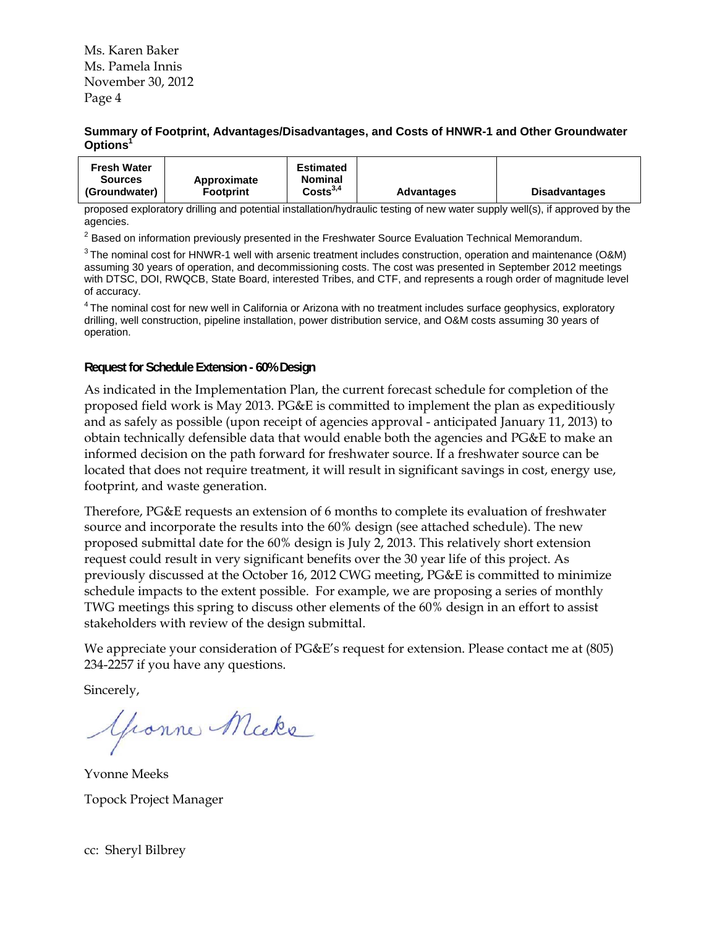Ms. Karen Baker Ms. Pamela Innis November 30, 2012 Page 4

#### **Summary of Footprint, Advantages/Disadvantages, and Costs of HNWR-1 and Other Groundwater Options1**

| Costs <sup>3,4</sup><br>(Groundwater)<br><b>Disadvantages</b><br><b>Footprint</b><br><b>Advantages</b> | <b>Fresh Water</b><br><b>Sources</b> | Approximate | Estimated<br><b>Nominal</b> |  |  |
|--------------------------------------------------------------------------------------------------------|--------------------------------------|-------------|-----------------------------|--|--|
|--------------------------------------------------------------------------------------------------------|--------------------------------------|-------------|-----------------------------|--|--|

proposed exploratory drilling and potential installation/hydraulic testing of new water supply well(s), if approved by the agencies.

 $^{2}$  Based on information previously presented in the Freshwater Source Evaluation Technical Memorandum.

 $3$  The nominal cost for HNWR-1 well with arsenic treatment includes construction, operation and maintenance (O&M) assuming 30 years of operation, and decommissioning costs. The cost was presented in September 2012 meetings with DTSC, DOI, RWQCB, State Board, interested Tribes, and CTF, and represents a rough order of magnitude level of accuracy.

<sup>4</sup> The nominal cost for new well in California or Arizona with no treatment includes surface geophysics, exploratory drilling, well construction, pipeline installation, power distribution service, and O&M costs assuming 30 years of operation.

#### **Request for Schedule Extension - 60% Design**

As indicated in the Implementation Plan, the current forecast schedule for completion of the proposed field work is May 2013. PG&E is committed to implement the plan as expeditiously and as safely as possible (upon receipt of agencies approval - anticipated January 11, 2013) to obtain technically defensible data that would enable both the agencies and PG&E to make an informed decision on the path forward for freshwater source. If a freshwater source can be located that does not require treatment, it will result in significant savings in cost, energy use, footprint, and waste generation.

Therefore, PG&E requests an extension of 6 months to complete its evaluation of freshwater source and incorporate the results into the 60% design (see attached schedule). The new proposed submittal date for the 60% design is July 2, 2013. This relatively short extension request could result in very significant benefits over the 30 year life of this project. As previously discussed at the October 16, 2012 CWG meeting, PG&E is committed to minimize schedule impacts to the extent possible. For example, we are proposing a series of monthly TWG meetings this spring to discuss other elements of the 60% design in an effort to assist stakeholders with review of the design submittal.

We appreciate your consideration of PG&E's request for extension. Please contact me at (805) 234-2257 if you have any questions.

Sincerely,

Gronne Micke

Yvonne Meeks Topock Project Manager

cc: Sheryl Bilbrey